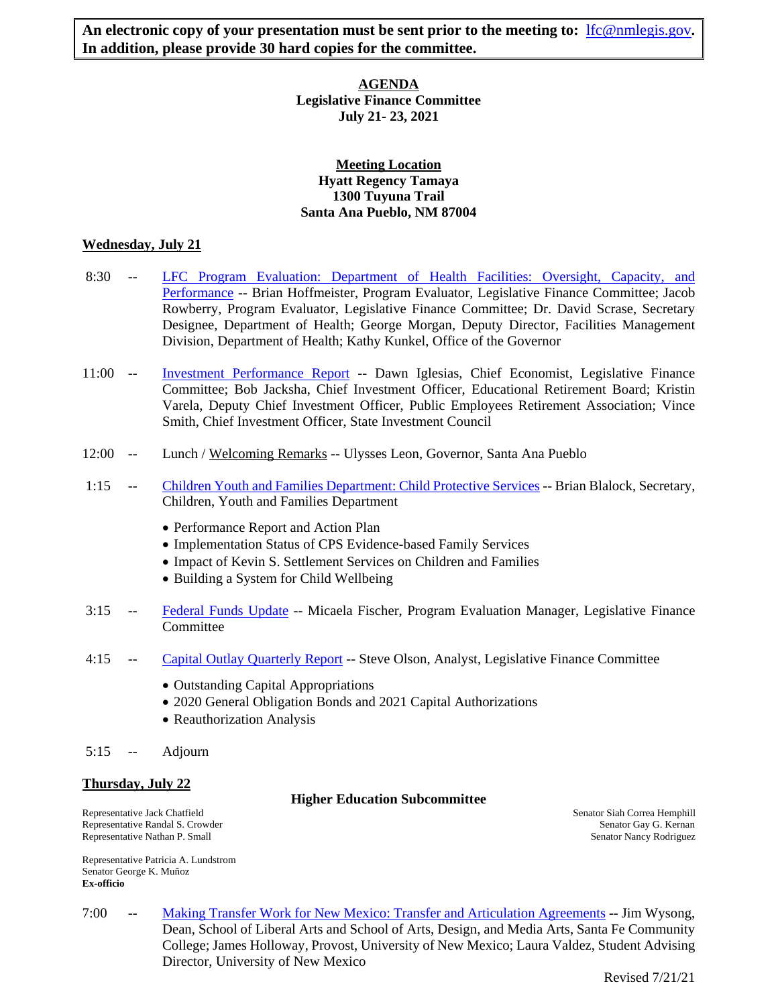An electronic copy of your presentation must be sent prior to the meeting to: [lfc@nmlegis.gov](mailto:lfc@nmlegis.gov). **In addition, please provide 30 hard copies for the committee.** 

## **AGENDA Legislative Finance Committee July 21- 23, 2021**

# **Meeting Location Hyatt Regency Tamaya 1300 Tuyuna Trail Santa Ana Pueblo, NM 87004**

## **Wednesday, July 21**

- 8:30 -- [LFC Program Evaluation: Department of Health Facilities: Oversight, Capacity, and](https://www.nmlegis.gov/Committee/Handouts?CommitteeCode=ALFC&Date=7/21/2021&ItemNumber=1)  [Performance](https://www.nmlegis.gov/Committee/Handouts?CommitteeCode=ALFC&Date=7/21/2021&ItemNumber=1) -- Brian Hoffmeister, Program Evaluator, Legislative Finance Committee; Jacob Rowberry, Program Evaluator, Legislative Finance Committee; Dr. David Scrase, Secretary Designee, Department of Health; George Morgan, Deputy Director, Facilities Management Division, Department of Health; Kathy Kunkel, Office of the Governor
- 11:00 -- [Investment Performance](https://www.nmlegis.gov/Committee/Handouts?CommitteeCode=ALFC&Date=7/21/2021&ItemNumber=2) Report -- Dawn Iglesias, Chief Economist, Legislative Finance Committee; Bob Jacksha, Chief Investment Officer, Educational Retirement Board; Kristin Varela, Deputy Chief Investment Officer, Public Employees Retirement Association; Vince Smith, Chief Investment Officer, State Investment Council
- 12:00 -- Lunch / Welcoming Remarks -- Ulysses Leon, Governor, Santa Ana Pueblo
- 1:15 -- [Children Youth and Families Department: Child Protective Services](https://www.nmlegis.gov/Committee/Handouts?CommitteeCode=ALFC&Date=7/21/2021&ItemNumber=3) -- Brian Blalock, Secretary, Children, Youth and Families Department
	- Performance Report and Action Plan
	- Implementation Status of CPS Evidence-based Family Services
	- Impact of Kevin S. Settlement Services on Children and Families
	- Building a System for Child Wellbeing
- 3:15 -- [Federal Funds Update](https://www.nmlegis.gov/Committee/Handouts?CommitteeCode=ALFC&Date=7/21/2021&ItemNumber=4) -- Micaela Fischer, Program Evaluation Manager, Legislative Finance Committee
- 4:15 -- [Capital Outlay Quarterly Report](https://www.nmlegis.gov/Committee/Handouts?CommitteeCode=ALFC&Date=7/21/2021&ItemNumber=5) -- Steve Olson, Analyst, Legislative Finance Committee
	- Outstanding Capital Appropriations
	- 2020 General Obligation Bonds and 2021 Capital Authorizations
	- Reauthorization Analysis
- 5:15 -- Adjourn

# **Thursday, July 22**

#### **Higher Education Subcommittee**

Representative Jack Chatfield<br>
Representative Randal S. Crowder<br>
Senator Gay G. Kernan Senator Gay G. Kernan Representative Randal S. Crowder Representative Nathan P. Small Senator Nancy Rodriguez

Representative Patricia A. Lundstrom Senator George K. Muñoz **Ex-officio**

7:00 -- [Making Transfer Work for New Mexico: Transfer and Articulation Agreements](https://www.nmlegis.gov/Committee/Handouts?CommitteeCode=ALFC&Date=7/21/2021&ItemNumber=6) -- Jim Wysong, Dean, School of Liberal Arts and School of Arts, Design, and Media Arts, Santa Fe Community College; James Holloway, Provost, University of New Mexico; Laura Valdez, Student Advising Director, University of New Mexico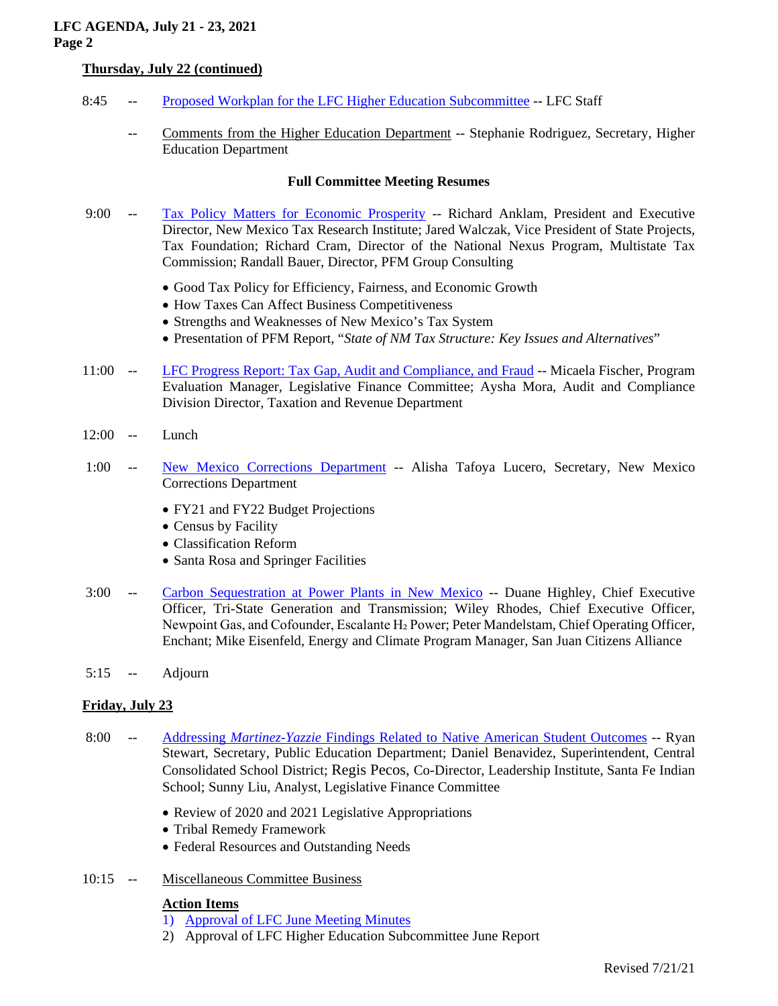# **LFC AGENDA, July 21 - 23, 2021 Page 2**

# **Thursday, July 22 (continued)**

- 8:45 -- [Proposed Workplan for the LFC Higher Education Subcommittee](https://www.nmlegis.gov/Committee/Handouts?CommitteeCode=ALFC&Date=7/21/2021&ItemNumber=7) -- LFC Staff
	- Comments from the Higher Education Department -- Stephanie Rodriguez, Secretary, Higher Education Department

### **Full Committee Meeting Resumes**

- 9:00 -- [Tax Policy Matters for Economic Prosperity](https://www.nmlegis.gov/Committee/Handouts?CommitteeCode=ALFC&Date=7/21/2021&ItemNumber=8) -- Richard Anklam, President and Executive Director, New Mexico Tax Research Institute; Jared Walczak, Vice President of State Projects, Tax Foundation; Richard Cram, Director of the National Nexus Program, Multistate Tax Commission; Randall Bauer, Director, PFM Group Consulting
	- Good Tax Policy for Efficiency, Fairness, and Economic Growth
	- How Taxes Can Affect Business Competitiveness
	- Strengths and Weaknesses of New Mexico's Tax System
	- Presentation of PFM Report, "*State of NM Tax Structure: Key Issues and Alternatives*"
- 11:00 -- [LFC Progress Report: Tax Gap, Audit and Compliance, and Fraud](https://www.nmlegis.gov/Committee/Handouts?CommitteeCode=ALFC&Date=7/21/2021&ItemNumber=9) -- Micaela Fischer, Program Evaluation Manager, Legislative Finance Committee; Aysha Mora, Audit and Compliance Division Director, Taxation and Revenue Department
- 12:00 -- Lunch
- 1:00 -- [New Mexico Corrections Department](https://www.nmlegis.gov/Committee/Handouts?CommitteeCode=ALFC&Date=7/21/2021&ItemNumber=10) -- Alisha Tafoya Lucero, Secretary, New Mexico Corrections Department
	- FY21 and FY22 Budget Projections
	- Census by Facility
	- Classification Reform
	- Santa Rosa and Springer Facilities
- 3:00 -- [Carbon Sequestration at Power](https://www.nmlegis.gov/Committee/Handouts?CommitteeCode=ALFC&Date=7/21/2021&ItemNumber=11) Plants in New Mexico -- Duane Highley, Chief Executive Officer, Tri-State Generation and Transmission; Wiley Rhodes, Chief Executive Officer, Newpoint Gas, and Cofounder, Escalante H<sub>2</sub> Power; Peter Mandelstam, Chief Operating Officer, Enchant; Mike Eisenfeld, Energy and Climate Program Manager, San Juan Citizens Alliance
- 5:15 -- Adjourn

# **Friday, July 23**

- 8:00 -- Addressing *Martinez-Yazzie* [Findings Related to Native American Student Outcomes](https://www.nmlegis.gov/Committee/Handouts?CommitteeCode=ALFC&Date=7/21/2021&ItemNumber=12) -- Ryan Stewart, Secretary, Public Education Department; Daniel Benavidez, Superintendent, Central Consolidated School District; Regis Pecos, Co-Director, Leadership Institute, Santa Fe Indian School; Sunny Liu, Analyst, Legislative Finance Committee
	- Review of 2020 and 2021 Legislative Appropriations
	- Tribal Remedy Framework
	- Federal Resources and Outstanding Needs
- 10:15 -- Miscellaneous Committee Business

#### **Action Items**

- 1) [Approval of LFC June Meeting Minutes](https://www.nmlegis.gov/Committee/Handouts?CommitteeCode=ALFC&Date=7/21/2021&ItemNumber=13)
- 2) Approval of LFC Higher Education Subcommittee June Report